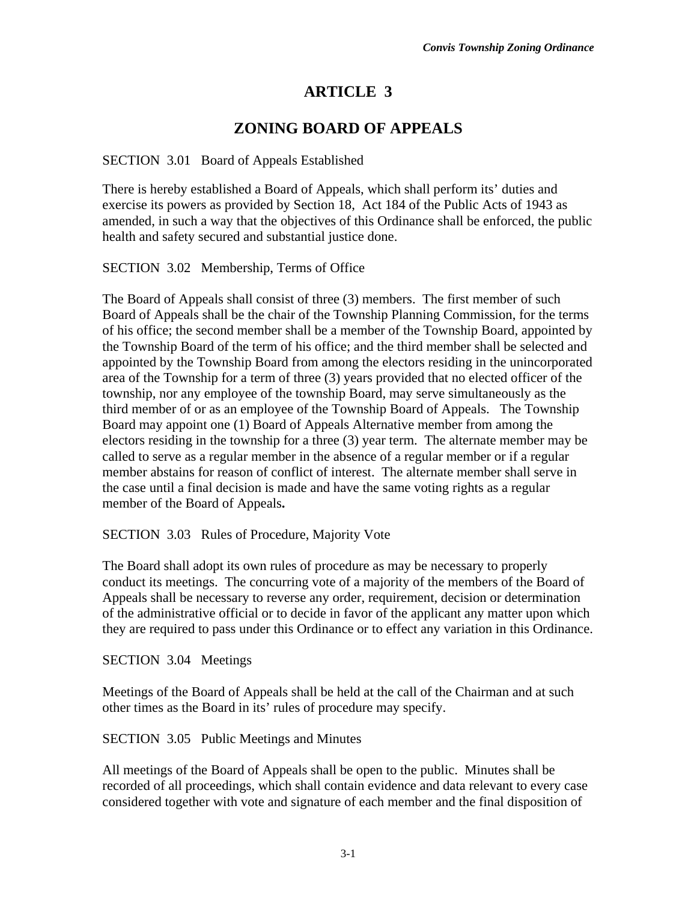## **ARTICLE 3**

## **ZONING BOARD OF APPEALS**

## SECTION 3.01 Board of Appeals Established

There is hereby established a Board of Appeals, which shall perform its' duties and exercise its powers as provided by Section 18, Act 184 of the Public Acts of 1943 as amended, in such a way that the objectives of this Ordinance shall be enforced, the public health and safety secured and substantial justice done.

SECTION 3.02 Membership, Terms of Office

The Board of Appeals shall consist of three (3) members. The first member of such Board of Appeals shall be the chair of the Township Planning Commission, for the terms of his office; the second member shall be a member of the Township Board, appointed by the Township Board of the term of his office; and the third member shall be selected and appointed by the Township Board from among the electors residing in the unincorporated area of the Township for a term of three (3) years provided that no elected officer of the township, nor any employee of the township Board, may serve simultaneously as the third member of or as an employee of the Township Board of Appeals. The Township Board may appoint one (1) Board of Appeals Alternative member from among the electors residing in the township for a three (3) year term. The alternate member may be called to serve as a regular member in the absence of a regular member or if a regular member abstains for reason of conflict of interest. The alternate member shall serve in the case until a final decision is made and have the same voting rights as a regular member of the Board of Appeals**.**

SECTION 3.03 Rules of Procedure, Majority Vote

The Board shall adopt its own rules of procedure as may be necessary to properly conduct its meetings. The concurring vote of a majority of the members of the Board of Appeals shall be necessary to reverse any order, requirement, decision or determination of the administrative official or to decide in favor of the applicant any matter upon which they are required to pass under this Ordinance or to effect any variation in this Ordinance.

SECTION 3.04 Meetings

Meetings of the Board of Appeals shall be held at the call of the Chairman and at such other times as the Board in its' rules of procedure may specify.

SECTION 3.05 Public Meetings and Minutes

All meetings of the Board of Appeals shall be open to the public. Minutes shall be recorded of all proceedings, which shall contain evidence and data relevant to every case considered together with vote and signature of each member and the final disposition of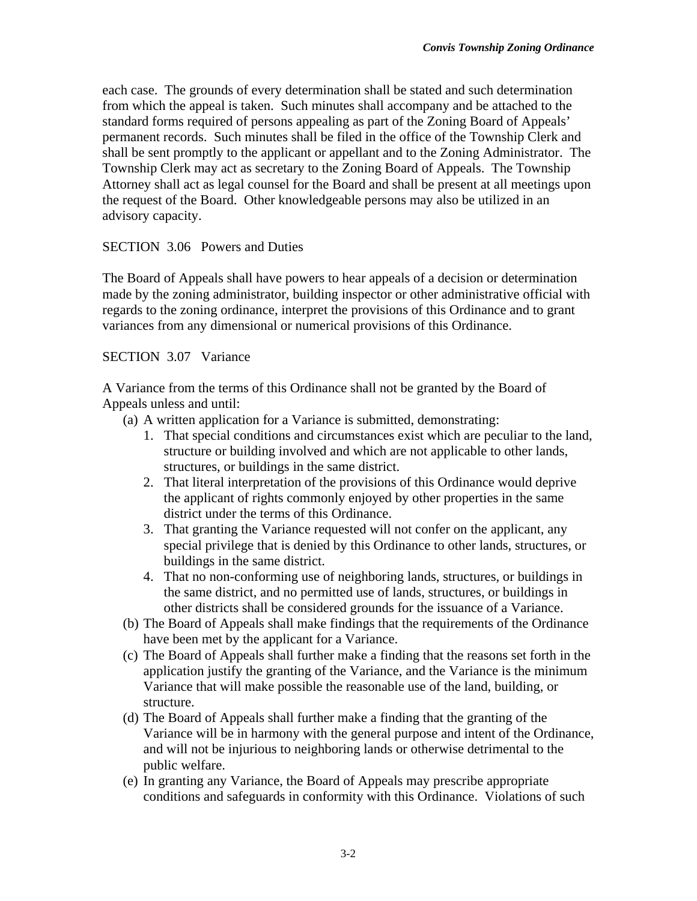each case. The grounds of every determination shall be stated and such determination from which the appeal is taken. Such minutes shall accompany and be attached to the standard forms required of persons appealing as part of the Zoning Board of Appeals' permanent records. Such minutes shall be filed in the office of the Township Clerk and shall be sent promptly to the applicant or appellant and to the Zoning Administrator. The Township Clerk may act as secretary to the Zoning Board of Appeals. The Township Attorney shall act as legal counsel for the Board and shall be present at all meetings upon the request of the Board. Other knowledgeable persons may also be utilized in an advisory capacity.

## SECTION 3.06 Powers and Duties

The Board of Appeals shall have powers to hear appeals of a decision or determination made by the zoning administrator, building inspector or other administrative official with regards to the zoning ordinance, interpret the provisions of this Ordinance and to grant variances from any dimensional or numerical provisions of this Ordinance.

SECTION 3.07 Variance

A Variance from the terms of this Ordinance shall not be granted by the Board of Appeals unless and until:

- (a) A written application for a Variance is submitted, demonstrating:
	- 1. That special conditions and circumstances exist which are peculiar to the land, structure or building involved and which are not applicable to other lands, structures, or buildings in the same district.
	- 2. That literal interpretation of the provisions of this Ordinance would deprive the applicant of rights commonly enjoyed by other properties in the same district under the terms of this Ordinance.
	- 3. That granting the Variance requested will not confer on the applicant, any special privilege that is denied by this Ordinance to other lands, structures, or buildings in the same district.
	- 4. That no non-conforming use of neighboring lands, structures, or buildings in the same district, and no permitted use of lands, structures, or buildings in other districts shall be considered grounds for the issuance of a Variance.
- (b) The Board of Appeals shall make findings that the requirements of the Ordinance have been met by the applicant for a Variance.
- (c) The Board of Appeals shall further make a finding that the reasons set forth in the application justify the granting of the Variance, and the Variance is the minimum Variance that will make possible the reasonable use of the land, building, or structure.
- (d) The Board of Appeals shall further make a finding that the granting of the Variance will be in harmony with the general purpose and intent of the Ordinance, and will not be injurious to neighboring lands or otherwise detrimental to the public welfare.
- (e) In granting any Variance, the Board of Appeals may prescribe appropriate conditions and safeguards in conformity with this Ordinance. Violations of such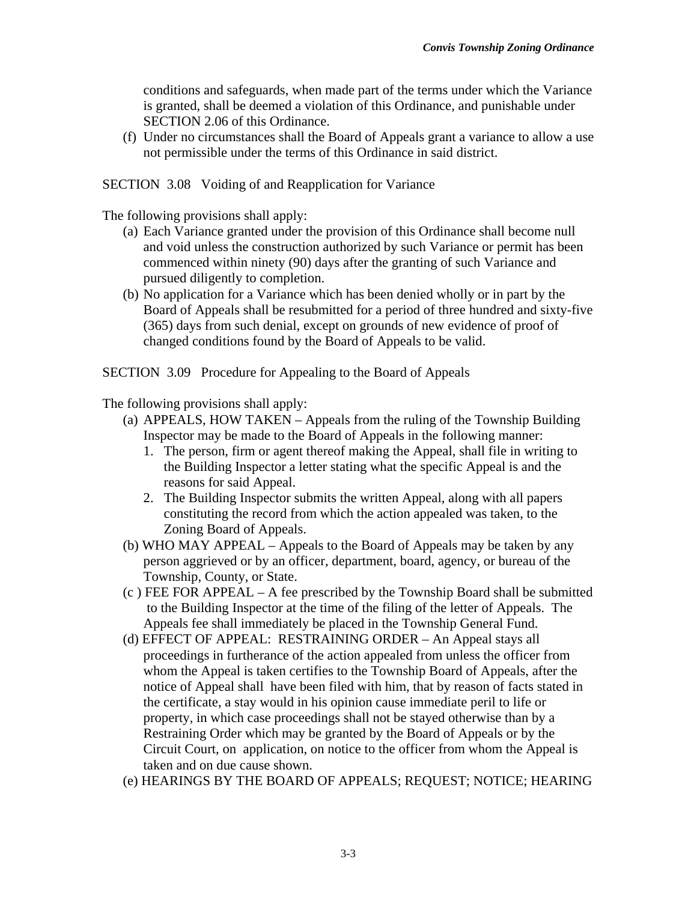conditions and safeguards, when made part of the terms under which the Variance is granted, shall be deemed a violation of this Ordinance, and punishable under SECTION 2.06 of this Ordinance.

 (f) Under no circumstances shall the Board of Appeals grant a variance to allow a use not permissible under the terms of this Ordinance in said district.

SECTION 3.08 Voiding of and Reapplication for Variance

The following provisions shall apply:

- (a) Each Variance granted under the provision of this Ordinance shall become null and void unless the construction authorized by such Variance or permit has been commenced within ninety (90) days after the granting of such Variance and pursued diligently to completion.
- (b) No application for a Variance which has been denied wholly or in part by the Board of Appeals shall be resubmitted for a period of three hundred and sixty-five (365) days from such denial, except on grounds of new evidence of proof of changed conditions found by the Board of Appeals to be valid.

SECTION 3.09 Procedure for Appealing to the Board of Appeals

The following provisions shall apply:

- (a) APPEALS, HOW TAKEN Appeals from the ruling of the Township Building Inspector may be made to the Board of Appeals in the following manner:
	- 1. The person, firm or agent thereof making the Appeal, shall file in writing to the Building Inspector a letter stating what the specific Appeal is and the reasons for said Appeal.
	- 2. The Building Inspector submits the written Appeal, along with all papers constituting the record from which the action appealed was taken, to the Zoning Board of Appeals.
- (b) WHO MAY APPEAL Appeals to the Board of Appeals may be taken by any person aggrieved or by an officer, department, board, agency, or bureau of the Township, County, or State.
- (c ) FEE FOR APPEAL A fee prescribed by the Township Board shall be submitted to the Building Inspector at the time of the filing of the letter of Appeals. The Appeals fee shall immediately be placed in the Township General Fund.
- (d) EFFECT OF APPEAL: RESTRAINING ORDER An Appeal stays all proceedings in furtherance of the action appealed from unless the officer from whom the Appeal is taken certifies to the Township Board of Appeals, after the notice of Appeal shall have been filed with him, that by reason of facts stated in the certificate, a stay would in his opinion cause immediate peril to life or property, in which case proceedings shall not be stayed otherwise than by a Restraining Order which may be granted by the Board of Appeals or by the Circuit Court, on application, on notice to the officer from whom the Appeal is taken and on due cause shown.
- (e) HEARINGS BY THE BOARD OF APPEALS; REQUEST; NOTICE; HEARING